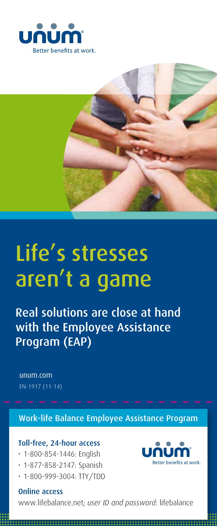



# Life's stresses aren't a game

Real solutions are close at hand with the Employee Assistance Program (EAP)

unum.com EN-1917 (11-14)

Work-life Balance Employee Assistance Program

**Better benefits at work** 

### Toll-free, 24-hour access

- • 1-800-854-1446: English
- • 1-877-858-2147: Spanish
- • 1-800-999-3004: TTY/TDD

# Online access

www.lifebalance.net; *user ID and password:* lifebalance